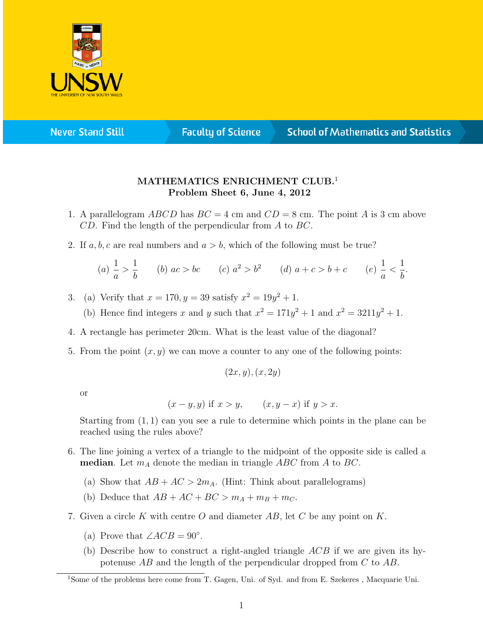

**Never Stand Still** 

**Faculty of Science** 

## **School of Mathematics and Statistics**

## MATHEMATICS ENRICHMENT CLUB.<sup>1</sup> Problem Sheet 6, June 4, 2012

- 1. A parallelogram  $ABCD$  has  $BC = 4$  cm and  $CD = 8$  cm. The point A is 3 cm above CD. Find the length of the perpendicular from A to BC.
- 2. If a, b, c are real numbers and  $a > b$ , which of the following must be true?

(a) 
$$
\frac{1}{a} > \frac{1}{b}
$$
 (b)  $ac > bc$  (c)  $a^2 > b^2$  (d)  $a + c > b + c$  (e)  $\frac{1}{a} < \frac{1}{b}$ .

- 3. (a) Verify that  $x = 170, y = 39$  satisfy  $x^2 = 19y^2 + 1$ .
	- (b) Hence find integers x and y such that  $x^2 = 171y^2 + 1$  and  $x^2 = 3211y^2 + 1$ .
- 4. A rectangle has perimeter 20cm. What is the least value of the diagonal?
- 5. From the point  $(x, y)$  we can move a counter to any one of the following points:

 $(2x, y), (x, 2y)$ 

or

$$
(x-y, y)
$$
 if  $x > y$ ,  $(x, y-x)$  if  $y > x$ .

Starting from (1, 1) can you see a rule to determine which points in the plane can be reached using the rules above?

- 6. The line joining a vertex of a triangle to the midpoint of the opposite side is called a **median**. Let  $m_A$  denote the median in triangle ABC from A to BC.
	- (a) Show that  $AB + AC > 2m_A$ . (Hint: Think about parallelograms)
	- (b) Deduce that  $AB + AC + BC > m_A + m_B + m_C$ .
- 7. Given a circle K with centre O and diameter  $AB$ , let C be any point on K.
	- (a) Prove that  $\angle ACB = 90^\circ$ .
	- (b) Describe how to construct a right-angled triangle  $ACB$  if we are given its hypotenuse AB and the length of the perpendicular dropped from C to AB.

<sup>1</sup>Some of the problems here come from T. Gagen, Uni. of Syd. and from E. Szekeres , Macquarie Uni.